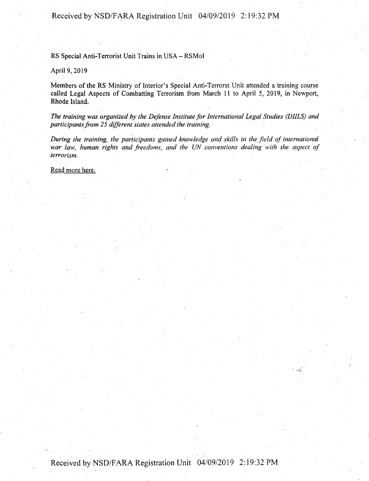Received by NSD/FARA Registration Unit 04/09/2019 2:19:32 PM

RS Special Anti-Terrorist Unit Trains in USA - RSMol

April 9, 2019

Members of the RS Ministry of Interior's Special Anti-Terrorst Unit attended a training course called Legal Aspects of Combatting Terrorism from March <sup>11</sup> to April 5, 2019, in Newport, Rhode Island.

*The training was organized by the Defense Institute for International Legal Studies (DHLS) and participantsfrom 25 different states attended the training.*

*During the training, the participants gained knowledge and skills in the field of international war law, human rights and freedoms, and the UN conventions dealing with the aspect of terrorism.*

Read more here.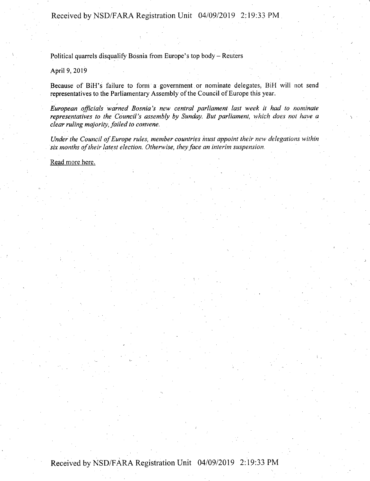Received by NSD/FARA Registration Unit 04/09/2019 2:19:33 PM

Political quarrels disqualify Bosnia from Europe's top body - Reuters

April 9, 2019

Because of BiH's failure to form a government or nominate delegates, BiH will not send representatives to the Parliamentary Assembly of the Council of Europe this year.

*European officials warned Bosnia's new central parliament last week it had to nominate representatives to the Council's assembly by Sunday. But parliament, which does not have a clear ruling majority, failed to convene.*

*Under the Council ofEurope rides, member countries must appoint their new delegations within six months oftheir latest election. Otherwise, theyface an interim suspension.*

i .

Read more here.